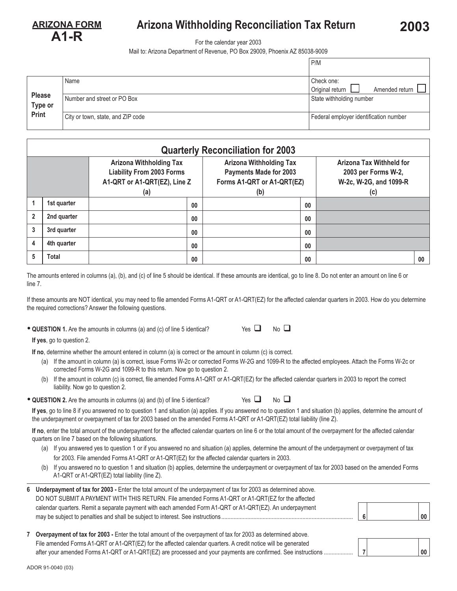<u>**AAD**</u>

## **Arizona Withholding Reconciliation Tax Return 2003**

For the calendar year 2003

Mail to: Arizona Department of Revenue, PO Box 29009, Phoenix AZ 85038-9009

|                          |                                   | P/M                                    |  |  |
|--------------------------|-----------------------------------|----------------------------------------|--|--|
|                          | Name                              | Check one:                             |  |  |
|                          |                                   | Original return<br>Amended return      |  |  |
| <b>Please</b><br>Type or | Number and street or PO Box       | State withholding number               |  |  |
| Print                    | City or town, state, and ZIP code | Federal employer identification number |  |  |

|                | <b>Quarterly Reconciliation for 2003</b> |                                                                                                           |    |                                                                                                      |    |                                                                                         |    |  |
|----------------|------------------------------------------|-----------------------------------------------------------------------------------------------------------|----|------------------------------------------------------------------------------------------------------|----|-----------------------------------------------------------------------------------------|----|--|
|                |                                          | <b>Arizona Withholding Tax</b><br><b>Liability From 2003 Forms</b><br>A1-QRT or A1-QRT(EZ), Line Z<br>(a) |    | <b>Arizona Withholding Tax</b><br><b>Payments Made for 2003</b><br>Forms A1-QRT or A1-QRT(EZ)<br>(b) |    | <b>Arizona Tax Withheld for</b><br>2003 per Forms W-2,<br>W-2c, W-2G, and 1099-R<br>(c) |    |  |
|                | 1st quarter                              |                                                                                                           | 00 |                                                                                                      | 00 |                                                                                         |    |  |
| $\overline{2}$ | 2nd quarter                              |                                                                                                           | 00 |                                                                                                      | 00 |                                                                                         |    |  |
| 3              | 3rd quarter                              |                                                                                                           | 00 |                                                                                                      | 00 |                                                                                         |    |  |
| 4              | 4th quarter                              |                                                                                                           | 00 |                                                                                                      | 00 |                                                                                         |    |  |
| 5              | <b>Total</b>                             |                                                                                                           | 00 |                                                                                                      | 00 |                                                                                         | 00 |  |

The amounts entered in columns (a), (b), and (c) of line 5 should be identical. If these amounts are identical, go to line 8. Do not enter an amount on line 6 or line 7.

If these amounts are NOT identical, you may need to file amended Forms A1-QRT or A1-QRT(EZ) for the affected calendar quarters in 2003. How do you determine the required corrections? Answer the following questions.

• **QUESTION 1.** Are the amounts in columns (a) and (c) of line 5 identical? Yes

|  | э<br>$\sim$ |  |
|--|-------------|--|

Yes  $\Box$  No  $\Box$ 

**If yes**, go to question 2.

**If no**, determine whether the amount entered in column (a) is correct or the amount in column (c) is correct.

- (a) If the amount in column (a) is correct, issue Forms W-2c or corrected Forms W-2G and 1099-R to the affected employees. Attach the Forms W-2c or corrected Forms W-2G and 1099-R to this return. Now go to question 2.
- (b) If the amount in column (c) is correct, file amended Forms A1-QRT or A1-QRT(EZ) for the affected calendar quarters in 2003 to report the correct liability. Now go to question 2.

| • QUESTION 2. Are the amounts in columns (a) and (b) of line 5 identical? | Yes $\Box$ |
|---------------------------------------------------------------------------|------------|
|                                                                           |            |

**If yes**, go to line 8 if you answered no to question 1 and situation (a) applies. If you answered no to question 1 and situation (b) applies, determine the amount of the underpayment or overpayment of tax for 2003 based on the amended Forms A1-QRT or A1-QRT(EZ) total liability (line Z).

**If no**, enter the total amount of the underpayment for the affected calendar quarters on line 6 or the total amount of the overpayment for the affected calendar quarters on line 7 based on the following situations.

- (a) If you answered yes to question 1 or if you answered no and situation (a) applies, determine the amount of the underpayment or overpayment of tax for 2003. File amended Forms A1-QRT or A1-QRT(EZ) for the affected calendar quarters in 2003.
- (b) If you answered no to question 1 and situation (b) applies, determine the underpayment or overpayment of tax for 2003 based on the amended Forms A1-QRT or A1-QRT(EZ) total liability (line Z).

| 6 Underpayment of tax for 2003 - Enter the total amount of the underpayment of tax for 2003 as determined above. |    |        |
|------------------------------------------------------------------------------------------------------------------|----|--------|
| DO NOT SUBMIT A PAYMENT WITH THIS RETURN. File amended Forms A1-QRT or A1-QRT (EZ for the affected               |    |        |
| calendar quarters. Remit a separate payment with each amended Form A1-QRT or A1-QRT(EZ). An underpayment         |    |        |
|                                                                                                                  | -6 | $00\,$ |
|                                                                                                                  |    |        |

| 7 Overpayment of tax for 2003 - Enter the total amount of the overpayment of tax for 2003 as determined above. |  |    |
|----------------------------------------------------------------------------------------------------------------|--|----|
| File amended Forms A1-QRT or A1-QRT(EZ) for the affected calendar quarters. A credit notice will be generated  |  |    |
| after your amended Forms A1-QRT or A1-QRT(EZ) are processed and your payments are confirmed. See instructions  |  | 00 |